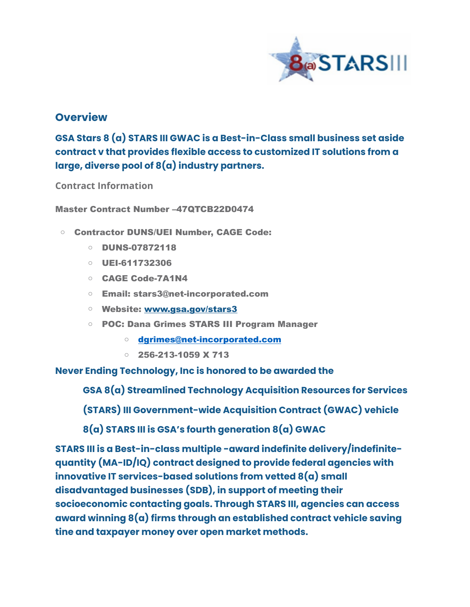

## **Overview**

**GSA Stars 8 (a) STARS III GWAC is a Best-in-Class small business set aside contract v that provides flexible access to customized IT solutions from a large, diverse pool of 8(a) industry partners.** 

**Contract Information**

Master Contract Number –47QTCB22D0474

- o Contractor DUNS/UEI Number, CAGE Code:
	- o DUNS-07872118
	- o UEI-611732306
	- o CAGE Code-7A1N4
	- o Email: stars3@net-incorporated.com
	- o Website: [www.gsa.gov/stars3](http://www.gsa.gov/stars3)
	- o POC: Dana Grimes STARS III Program Manager
		- o [dgrimes@net-incorporated.com](mailto:dgrimes@net-incorporated.com)
		- $\circ$  256-213-1059 X 713

**Never Ending Technology, Inc is honored to be awarded the** 

**GSA 8(a) Streamlined Technology Acquisition Resources for Services**

**(STARS) III Government-wide Acquisition Contract (GWAC) vehicle**

**8(a) STARS III is GSA's fourth generation 8(a) GWAC**

**STARS III is a Best-in-class multiple -award indefinite delivery/indefinitequantity (MA-ID/IQ) contract designed to provide federal agencies with innovative IT services-based solutions from vetted 8(a) small disadvantaged businesses (SDB), in support of meeting their socioeconomic contacting goals. Through STARS III, agencies can access award winning 8(a) firms through an established contract vehicle saving tine and taxpayer money over open market methods.**